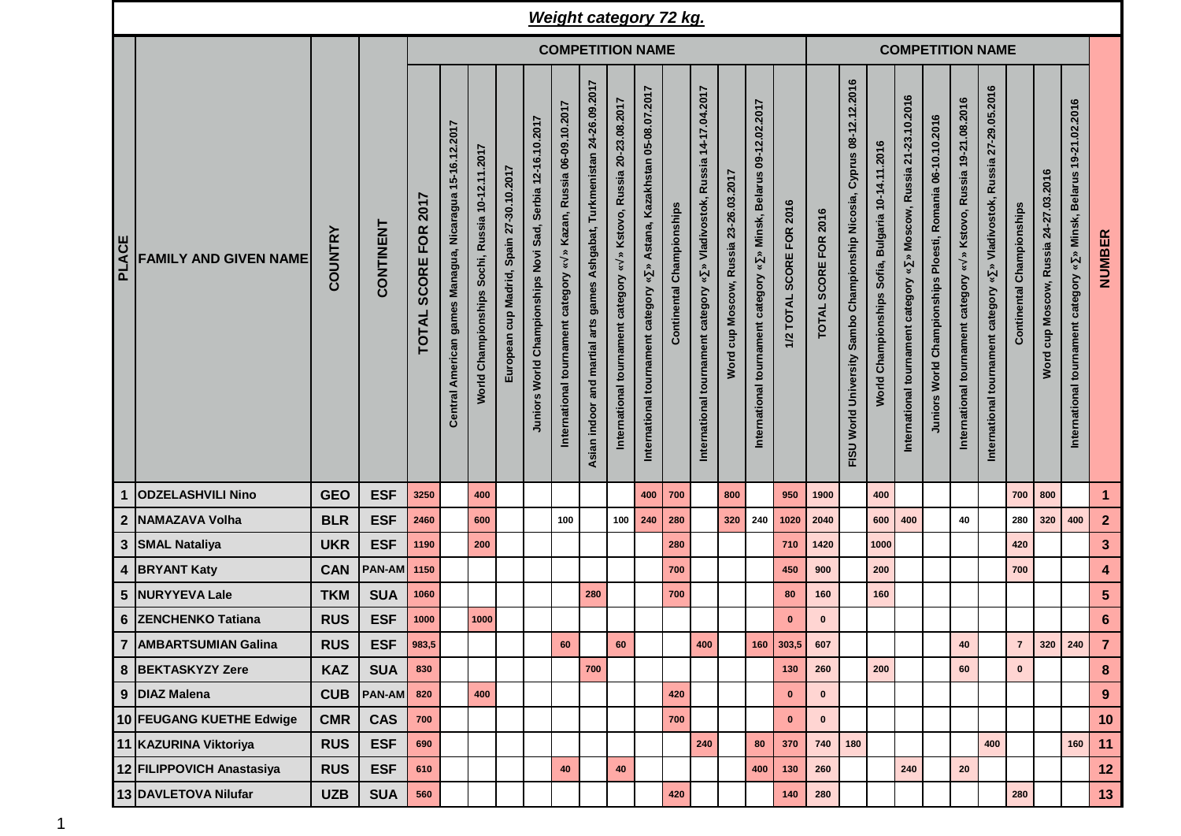|              |                              |                |               |                                                    |                                                         |                                                 |                                          |                                                            | <b>Weight category 72 kg.</b>                                           |                                                                             |                                                                                                                |                                                                                              |                              |                                                                                                                |                                             |                                                                                                                                |                          |                         |                                                                                              |                                                                             |                                                                                              |                                                            |                                                                                            |                                                                               |                           |                                       |                                                                       |                  |  |  |
|--------------|------------------------------|----------------|---------------|----------------------------------------------------|---------------------------------------------------------|-------------------------------------------------|------------------------------------------|------------------------------------------------------------|-------------------------------------------------------------------------|-----------------------------------------------------------------------------|----------------------------------------------------------------------------------------------------------------|----------------------------------------------------------------------------------------------|------------------------------|----------------------------------------------------------------------------------------------------------------|---------------------------------------------|--------------------------------------------------------------------------------------------------------------------------------|--------------------------|-------------------------|----------------------------------------------------------------------------------------------|-----------------------------------------------------------------------------|----------------------------------------------------------------------------------------------|------------------------------------------------------------|--------------------------------------------------------------------------------------------|-------------------------------------------------------------------------------|---------------------------|---------------------------------------|-----------------------------------------------------------------------|------------------|--|--|
|              |                              |                |               | <b>COMPETITION NAME</b>                            |                                                         |                                                 |                                          |                                                            |                                                                         |                                                                             |                                                                                                                |                                                                                              |                              |                                                                                                                |                                             |                                                                                                                                |                          | <b>COMPETITION NAME</b> |                                                                                              |                                                                             |                                                                                              |                                                            |                                                                                            |                                                                               |                           |                                       |                                                                       |                  |  |  |
| <b>PLACE</b> | <b>FAMILY AND GIVEN NAME</b> | <b>COUNTRY</b> | CONTINENT     | 2017<br><b>FOR</b><br><b>SCORE</b><br><b>TOTAL</b> | Central American games Managua, Nicaragua 15-16.12.2017 | World Championships Sochi, Russia 10-12.11.2017 | European cup Madrid, Spain 27-30.10.2017 | Juniors World Championships Novi Sad, Serbia 12-16.10.2017 | » Kazan, Russia 06-09.10.2017<br>¥<br>International tournament category | Ashgabat, Turkmenistan 24-26.09.2017<br>Asian indoor and martial arts games | Kstovo, Russia 20-23.08.2017<br>$\hat{\mathbf{z}}$<br>$\boldsymbol{\ast}$<br>International tournament category | Astana, Kazakhstan 05-08.07.2017<br>$\boldsymbol{\ast}$<br>International tournament category | Championships<br>Continental | 14-17.04.2017<br><b>Russia</b><br>Vladivostok,<br>$\check{\mathbf{v}}$<br>category<br>International tournament | Russia 23-26.03.2017<br>cup Moscow,<br>Word | 09-12.02.2017<br><b>Belarus</b><br>Minsk,<br>$\hat{\mathbf{z}}$<br>$\boldsymbol{\ast}$<br>tournament category<br>International | 1/2 TOTAL SCORE FOR 2016 | TOTAL SCORE FOR 2016    | 08-12.12.2016<br>Cyprus<br>Championship Nicosia,<br>Sambo<br>World University<br><b>FISU</b> | 10-14.11.2016<br><b>Bulgaria</b><br>Sofia,<br>Championships<br><b>World</b> | 21-23.10.2016<br>» Moscow, Russia<br>$\,\tilde{}$<br>category<br>tournament<br>International | Juniors World Championships Ploesti, Romania 06-10.10.2016 | » Kstovo, Russia 19-21.08.2016<br>$\boldsymbol{\ast}$<br>International tournament category | Russia 27-29.05.2016<br>» Vladivostok,<br>International tournament category « | Continental Championships | Word cup Moscow, Russia 24-27.03.2016 | » Minsk, Belarus 19-21.02.2016<br>International tournament category « | NUMBER           |  |  |
| 1            | <b>ODZELASHVILI Nino</b>     | <b>GEO</b>     | <b>ESF</b>    | 3250                                               |                                                         | 400                                             |                                          |                                                            |                                                                         |                                                                             |                                                                                                                | 400                                                                                          | 700                          |                                                                                                                | 800                                         |                                                                                                                                | 950                      | 1900                    |                                                                                              | 400                                                                         |                                                                                              |                                                            |                                                                                            |                                                                               | 700                       | 800                                   |                                                                       | $\mathbf{1}$     |  |  |
|              | 2 NAMAZAVA Volha             | <b>BLR</b>     | <b>ESF</b>    | 2460                                               |                                                         | 600                                             |                                          |                                                            | 100                                                                     |                                                                             | 100                                                                                                            | 240                                                                                          | 280                          |                                                                                                                | 320                                         | 240                                                                                                                            | 1020                     | 2040                    |                                                                                              | 600                                                                         | 400                                                                                          |                                                            | 40                                                                                         |                                                                               | 280                       | 320                                   | 400                                                                   | $\overline{2}$   |  |  |
|              | 3 SMAL Nataliya              | <b>UKR</b>     | <b>ESF</b>    | 1190                                               |                                                         | 200                                             |                                          |                                                            |                                                                         |                                                                             |                                                                                                                |                                                                                              | 280                          |                                                                                                                |                                             |                                                                                                                                | 710                      | 1420                    |                                                                                              | 1000                                                                        |                                                                                              |                                                            |                                                                                            |                                                                               | 420                       |                                       |                                                                       | $\mathbf{3}$     |  |  |
|              | 4 BRYANT Katy                | <b>CAN</b>     | PAN-AM        | 1150                                               |                                                         |                                                 |                                          |                                                            |                                                                         |                                                                             |                                                                                                                |                                                                                              | 700                          |                                                                                                                |                                             |                                                                                                                                | 450                      | 900                     |                                                                                              | 200                                                                         |                                                                                              |                                                            |                                                                                            |                                                                               | 700                       |                                       |                                                                       | $\boldsymbol{4}$ |  |  |
| 5            | <b>NURYYEVA Lale</b>         | <b>TKM</b>     | <b>SUA</b>    | 1060                                               |                                                         |                                                 |                                          |                                                            |                                                                         | 280                                                                         |                                                                                                                |                                                                                              | 700                          |                                                                                                                |                                             |                                                                                                                                | 80                       | 160                     |                                                                                              | 160                                                                         |                                                                                              |                                                            |                                                                                            |                                                                               |                           |                                       |                                                                       | $5\phantom{1}$   |  |  |
|              | 6 ZENCHENKO Tatiana          | <b>RUS</b>     | <b>ESF</b>    | 1000                                               |                                                         | 1000                                            |                                          |                                                            |                                                                         |                                                                             |                                                                                                                |                                                                                              |                              |                                                                                                                |                                             |                                                                                                                                | $\mathbf{0}$             | $\mathbf{0}$            |                                                                                              |                                                                             |                                                                                              |                                                            |                                                                                            |                                                                               |                           |                                       |                                                                       | $\bf 6$          |  |  |
|              | 7   AMBARTSUMIAN Galina      | <b>RUS</b>     | <b>ESF</b>    | 983,5                                              |                                                         |                                                 |                                          |                                                            | 60                                                                      |                                                                             | 60                                                                                                             |                                                                                              |                              | 400                                                                                                            |                                             |                                                                                                                                | 160 303,5                | 607                     |                                                                                              |                                                                             |                                                                                              |                                                            | 40                                                                                         |                                                                               | $\overline{7}$            |                                       | 320 240                                                               | $\overline{7}$   |  |  |
|              | 8 BEKTASKYZY Zere            | <b>KAZ</b>     | <b>SUA</b>    | 830                                                |                                                         |                                                 |                                          |                                                            |                                                                         | 700                                                                         |                                                                                                                |                                                                                              |                              |                                                                                                                |                                             |                                                                                                                                | 130                      | 260                     |                                                                                              | 200                                                                         |                                                                                              |                                                            | 60                                                                                         |                                                                               | $\mathbf{0}$              |                                       |                                                                       | 8                |  |  |
|              | 9 DIAZ Malena                | <b>CUB</b>     | <b>PAN-AM</b> | 820                                                |                                                         | 400                                             |                                          |                                                            |                                                                         |                                                                             |                                                                                                                |                                                                                              | 420                          |                                                                                                                |                                             |                                                                                                                                | $\mathbf{0}$             | $\bf{0}$                |                                                                                              |                                                                             |                                                                                              |                                                            |                                                                                            |                                                                               |                           |                                       |                                                                       | 9                |  |  |
|              | 10 FEUGANG KUETHE Edwige     | <b>CMR</b>     | <b>CAS</b>    | 700                                                |                                                         |                                                 |                                          |                                                            |                                                                         |                                                                             |                                                                                                                |                                                                                              | 700                          |                                                                                                                |                                             |                                                                                                                                | $\mathbf 0$              | $\mathbf 0$             |                                                                                              |                                                                             |                                                                                              |                                                            |                                                                                            |                                                                               |                           |                                       |                                                                       | 10               |  |  |
|              | 11 KAZURINA Viktoriya        | <b>RUS</b>     | <b>ESF</b>    | 690                                                |                                                         |                                                 |                                          |                                                            |                                                                         |                                                                             |                                                                                                                |                                                                                              |                              | 240                                                                                                            |                                             | 80                                                                                                                             | 370                      | 740                     | 180                                                                                          |                                                                             |                                                                                              |                                                            |                                                                                            | 400                                                                           |                           |                                       | 160                                                                   | 11               |  |  |
|              | 12 FILIPPOVICH Anastasiya    | <b>RUS</b>     | <b>ESF</b>    | 610                                                |                                                         |                                                 |                                          |                                                            | 40                                                                      |                                                                             | 40                                                                                                             |                                                                                              |                              |                                                                                                                |                                             | 400                                                                                                                            | 130                      | 260                     |                                                                                              |                                                                             | 240                                                                                          |                                                            | 20                                                                                         |                                                                               |                           |                                       |                                                                       | 12               |  |  |
|              | 13 DAVLETOVA Nilufar         | <b>UZB</b>     | <b>SUA</b>    | 560                                                |                                                         |                                                 |                                          |                                                            |                                                                         |                                                                             |                                                                                                                |                                                                                              | 420                          |                                                                                                                |                                             |                                                                                                                                | $140$                    | 280                     |                                                                                              |                                                                             |                                                                                              |                                                            |                                                                                            |                                                                               | 280                       |                                       |                                                                       | 13               |  |  |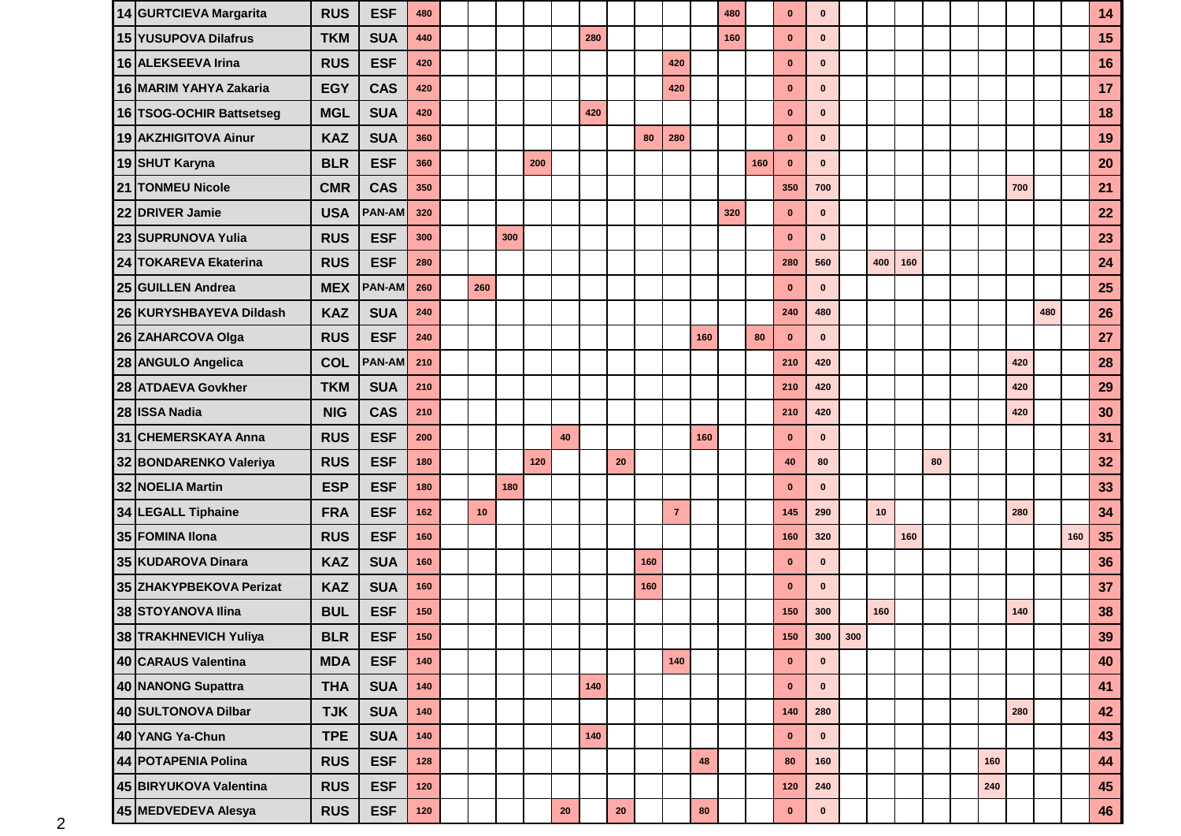| 14 GURTCIEVA Margarita   | <b>RUS</b> | <b>ESF</b>    | 480   |     |     |     |    |     |        |     |                |            | 480 |     | $\bf{0}$     | $\bf{0}$     |     |     |    |     |     |     |     | 14 |
|--------------------------|------------|---------------|-------|-----|-----|-----|----|-----|--------|-----|----------------|------------|-----|-----|--------------|--------------|-----|-----|----|-----|-----|-----|-----|----|
| 15 YUSUPOVA Dilafrus     | <b>TKM</b> | <b>SUA</b>    | 440   |     |     |     |    | 280 |        |     |                |            | 160 |     | $\bf{0}$     | $\mathbf{0}$ |     |     |    |     |     |     |     | 15 |
| 16 ALEKSEEVA Irina       | <b>RUS</b> | <b>ESF</b>    | 420   |     |     |     |    |     |        |     | 420            |            |     |     | $\bf{0}$     | $\mathbf{0}$ |     |     |    |     |     |     |     | 16 |
| 16 MARIM YAHYA Zakaria   | <b>EGY</b> | <b>CAS</b>    | 420   |     |     |     |    |     |        |     | 420            |            |     |     | $\bf{0}$     | $\mathbf{0}$ |     |     |    |     |     |     |     | 17 |
| 16 TSOG-OCHIR Battsetseg | <b>MGL</b> | <b>SUA</b>    | 420   |     |     |     |    | 420 |        |     |                |            |     |     | $\mathbf 0$  | $\bf{0}$     |     |     |    |     |     |     |     | 18 |
| 19 AKZHIGITOVA Ainur     | <b>KAZ</b> | <b>SUA</b>    | 360   |     |     |     |    |     |        | 80  | 280            |            |     |     | $\bf{0}$     | $\bf{0}$     |     |     |    |     |     |     |     | 19 |
| 19 SHUT Karyna           | <b>BLR</b> | <b>ESF</b>    | 360   |     |     | 200 |    |     |        |     |                |            |     | 160 | $\bf{0}$     | $\bf{0}$     |     |     |    |     |     |     |     | 20 |
| 21 TONMEU Nicole         | <b>CMR</b> | <b>CAS</b>    | 350   |     |     |     |    |     |        |     |                |            |     |     | 350          | 700          |     |     |    |     | 700 |     |     | 21 |
| 22 DRIVER Jamie          | <b>USA</b> | <b>PAN-AM</b> | 320   |     |     |     |    |     |        |     |                |            | 320 |     | $\mathbf 0$  | $\bf{0}$     |     |     |    |     |     |     |     | 22 |
| 23 SUPRUNOVA Yulia       | <b>RUS</b> | <b>ESF</b>    | 300   |     | 300 |     |    |     |        |     |                |            |     |     | $\bf{0}$     | $\bf{0}$     |     |     |    |     |     |     |     | 23 |
| 24 TOKAREVA Ekaterina    | <b>RUS</b> | <b>ESF</b>    | 280   |     |     |     |    |     |        |     |                |            |     |     | 280          | 560          | 400 | 160 |    |     |     |     |     | 24 |
| 25 GUILLEN Andrea        | <b>MEX</b> | <b>PAN-AM</b> | 260   | 260 |     |     |    |     |        |     |                |            |     |     | $\mathbf{0}$ | $\mathbf{0}$ |     |     |    |     |     |     |     | 25 |
| 26 KURYSHBAYEVA Dildash  | <b>KAZ</b> | <b>SUA</b>    | 240   |     |     |     |    |     |        |     |                |            |     |     | 240          | 480          |     |     |    |     |     | 480 |     | 26 |
| 26 ZAHARCOVA Olga        | <b>RUS</b> | <b>ESF</b>    | 240   |     |     |     |    |     |        |     |                | 160        |     | 80  | $\mathbf{0}$ | $\bf{0}$     |     |     |    |     |     |     |     | 27 |
| 28 ANGULO Angelica       | <b>COL</b> | <b>PAN-AM</b> | 210   |     |     |     |    |     |        |     |                |            |     |     | 210          | 420          |     |     |    |     | 420 |     |     | 28 |
| 28 ATDAEVA Govkher       | <b>TKM</b> | <b>SUA</b>    | 210   |     |     |     |    |     |        |     |                |            |     |     | 210          | 420          |     |     |    |     | 420 |     |     | 29 |
| 28 ISSA Nadia            | <b>NIG</b> | <b>CAS</b>    | 210   |     |     |     |    |     |        |     |                |            |     |     | 210          | 420          |     |     |    |     | 420 |     |     | 30 |
| 31 CHEMERSKAYA Anna      | <b>RUS</b> | <b>ESF</b>    | 200   |     |     |     | 40 |     |        |     |                | 160        |     |     | $\mathbf 0$  | $\mathbf{0}$ |     |     |    |     |     |     |     | 31 |
| 32 BONDARENKO Valeriya   | <b>RUS</b> | <b>ESF</b>    | 180   |     |     | 120 |    |     | 20     |     |                |            |     |     | 40           | 80           |     |     | 80 |     |     |     |     | 32 |
| 32 NOELIA Martin         | <b>ESP</b> | <b>ESF</b>    | 180   |     | 180 |     |    |     |        |     |                |            |     |     | $\bf{0}$     | $\mathbf{0}$ |     |     |    |     |     |     |     | 33 |
| 34 LEGALL Tiphaine       | <b>FRA</b> | <b>ESF</b>    | 162   | 10  |     |     |    |     |        |     | $\overline{7}$ |            |     |     | 145          | 290          | 10  |     |    |     | 280 |     |     | 34 |
| 35 FOMINA Ilona          | <b>RUS</b> | <b>ESF</b>    | 160   |     |     |     |    |     |        |     |                |            |     |     | 160          | 320          |     | 160 |    |     |     |     | 160 | 35 |
| 35 KUDAROVA Dinara       | <b>KAZ</b> | <b>SUA</b>    | 160   |     |     |     |    |     |        | 160 |                |            |     |     | $\bf{0}$     | $\mathbf{0}$ |     |     |    |     |     |     |     | 36 |
| 35 ZHAKYPBEKOVA Perizat  | <b>KAZ</b> | <b>SUA</b>    | 160   |     |     |     |    |     |        | 160 |                |            |     |     | $\bf{0}$     | $\mathbf{0}$ |     |     |    |     |     |     |     | 37 |
| 38 STOYANOVA Ilina       | <b>BUL</b> | <b>ESF</b>    | 150   |     |     |     |    |     |        |     |                |            |     |     | 150          | 300          | 160 |     |    |     | 140 |     |     | 38 |
| 38 TRAKHNEVICH Yuliya    | <b>BLR</b> | <b>ESF</b>    | 150   |     |     |     |    |     |        |     |                |            |     |     | 150          | 300 300      |     |     |    |     |     |     |     | 39 |
| 40 CARAUS Valentina      | <b>MDA</b> | <b>ESF</b>    | 140   |     |     |     |    |     |        |     | 140            |            |     |     | $\mathbf 0$  | $\bf{0}$     |     |     |    |     |     |     |     | 40 |
| 40 NANONG Supattra       | <b>THA</b> | <b>SUA</b>    | 140   |     |     |     |    | 140 |        |     |                |            |     |     | $\mathbf 0$  | $\bf{0}$     |     |     |    |     |     |     |     | 41 |
| 40 SULTONOVA Dilbar      | <b>TJK</b> | <b>SUA</b>    | 140   |     |     |     |    |     |        |     |                |            |     |     | 140          | 280          |     |     |    |     | 280 |     |     | 42 |
| 40 YANG Ya-Chun          | <b>TPE</b> | <b>SUA</b>    | 140   |     |     |     |    | 140 |        |     |                |            |     |     | $\bf{0}$     | $\mathbf 0$  |     |     |    |     |     |     |     | 43 |
| 44 POTAPENIA Polina      | <b>RUS</b> | <b>ESF</b>    | 128   |     |     |     |    |     |        |     |                | 48         |     |     | 80           | 160          |     |     |    | 160 |     |     |     | 44 |
| 45 BIRYUKOVA Valentina   | <b>RUS</b> | <b>ESF</b>    | 120   |     |     |     |    |     |        |     |                |            |     |     | 120          | 240          |     |     |    | 240 |     |     |     | 45 |
| 45 MEDVEDEVA Alesya      | <b>RUS</b> | <b>ESF</b>    | $120$ |     |     |     | 20 |     | $20\,$ |     |                | ${\bf 80}$ |     |     | $\mathbf 0$  | $\mathbf 0$  |     |     |    |     |     |     |     | 46 |